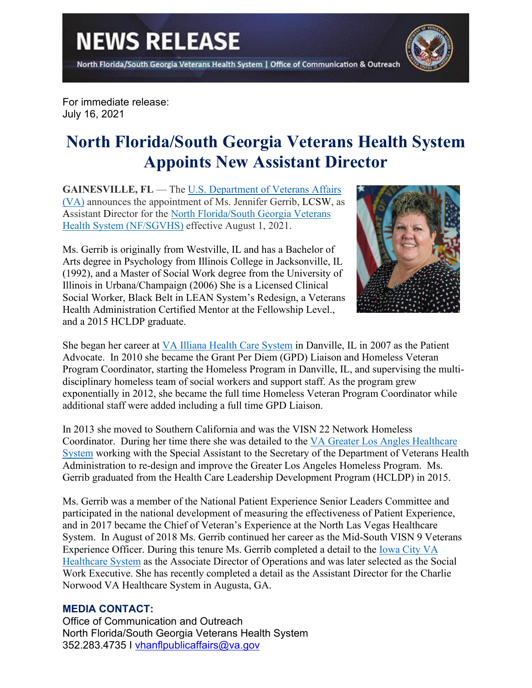North Florida/South Georgia Veterans Health System | Office of Communication & Outreach



For immediate release: July 16, 2021

## **North Florida/South Georgia Veterans Health System Appoints New Assistant Director**

**GAINESVILLE, FL — The U.S. Department of Veterans Affairs** [\(VA\)](https://www.va.gov/) announces the appointment of Ms. Jennifer Gerrib, LCSW, as Assistant Director for the [North Florida/South Georgia Veterans](https://www.northflorida.va.gov/)  [Health System \(NF/SGVHS\)](https://www.northflorida.va.gov/) effective August 1, 2021.

Ms. Gerrib is originally from Westville, IL and has a Bachelor of Arts degree in Psychology from Illinois College in Jacksonville, IL (1992), and a Master of Social Work degree from the University of Illinois in Urbana/Champaign (2006) She is a Licensed Clinical Social Worker, Black Belt in LEAN System's Redesign, a Veterans Health Administration Certified Mentor at the Fellowship Level., and a 2015 HCLDP graduate.



She began her career at [VA Illiana Health Care System](https://www.danville.va.gov/) in Danville, IL in 2007 as the Patient Advocate. In 2010 she became the Grant Per Diem (GPD) Liaison and Homeless Veteran Program Coordinator, starting the Homeless Program in Danville, IL, and supervising the multidisciplinary homeless team of social workers and support staff. As the program grew exponentially in 2012, she became the full time Homeless Veteran Program Coordinator while additional staff were added including a full time GPD Liaison.

In 2013 she moved to Southern California and was the VISN 22 Network Homeless Coordinator. During her time there she was detailed to the [VA Greater Los Angles Healthcare](https://www.losangeles.va.gov/)  [System](https://www.losangeles.va.gov/) working with the Special Assistant to the Secretary of the Department of Veterans Health Administration to re-design and improve the Greater Los Angeles Homeless Program. Ms. Gerrib graduated from the Health Care Leadership Development Program (HCLDP) in 2015.

Ms. Gerrib was a member of the National Patient Experience Senior Leaders Committee and participated in the national development of measuring the effectiveness of Patient Experience, and in 2017 became the Chief of Veteran's Experience at the North Las Vegas Healthcare System. In August of 2018 Ms. Gerrib continued her career as the Mid-South VISN 9 Veterans Experience Officer. During this tenure Ms. Gerrib completed a detail to the [Iowa City VA](https://www.iowacity.va.gov/)  [Healthcare System](https://www.iowacity.va.gov/) as the Associate Director of Operations and was later selected as the Social Work Executive. She has recently completed a detail as the Assistant Director for the Charlie Norwood VA Healthcare System in Augusta, GA.

## **MEDIA CONTACT:**

Office of Communication and Outreach North Florida/South Georgia Veterans Health System 352.283.4735 I [vhanflpublicaffairs@va.gov](mailto:vhanflpublicaffairs@va.gov)